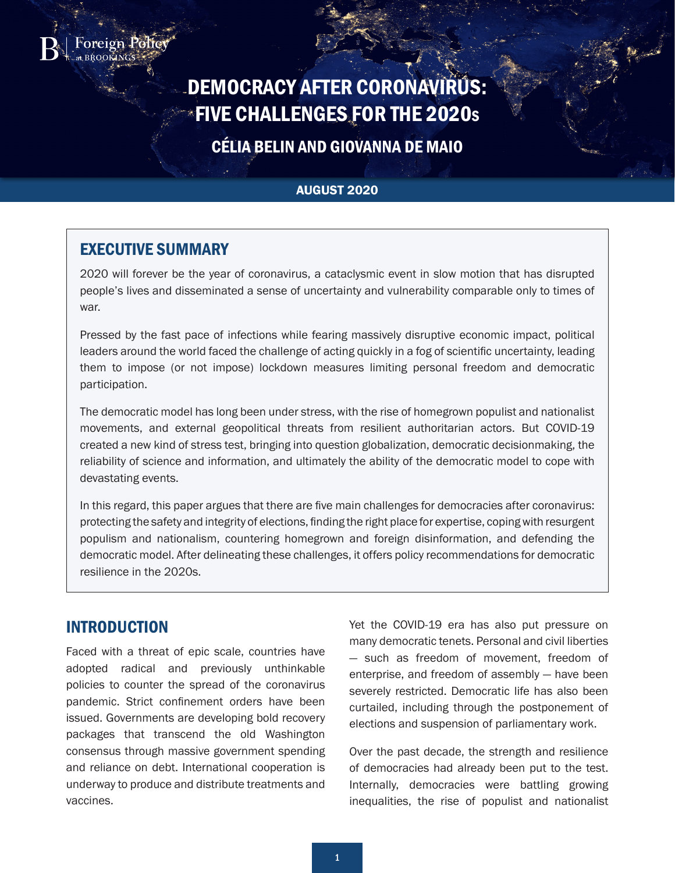

# DEMOCRACY AFTER CORONAVIRUS: FIVE CHALLENGES FOR THE 2020<sup>s</sup>

# CÉLIA BELIN AND GIOVANNA DE MAIO

#### AUGUST 2020

# EXECUTIVE SUMMARY

2020 will forever be the year of coronavirus, a cataclysmic event in slow motion that has disrupted people's lives and disseminated a sense of uncertainty and vulnerability comparable only to times of war.

Pressed by the fast pace of infections while fearing massively disruptive economic impact, political leaders around the world faced the challenge of acting quickly in a fog of scientific uncertainty, leading them to impose (or not impose) lockdown measures limiting personal freedom and democratic participation.

The democratic model has long been under stress, with the rise of homegrown populist and nationalist movements, and external geopolitical threats from resilient authoritarian actors. But COVID-19 created a new kind of stress test, bringing into question globalization, democratic decisionmaking, the reliability of science and information, and ultimately the ability of the democratic model to cope with devastating events.

In this regard, this paper argues that there are five main challenges for democracies after coronavirus: protecting the safety and integrity of elections, finding the right place for expertise, coping with resurgent populism and nationalism, countering homegrown and foreign disinformation, and defending the democratic model. After delineating these challenges, it offers policy recommendations for democratic resilience in the 2020s.

### INTRODUCTION

Faced with a threat of epic scale, countries have adopted radical and previously unthinkable policies to counter the spread of the coronavirus pandemic. Strict confinement orders have been issued. Governments are developing bold recovery packages that transcend the old Washington consensus through massive government spending and reliance on debt. International cooperation is underway to produce and distribute treatments and vaccines.

Yet the COVID-19 era has also put pressure on many democratic tenets. Personal and civil liberties — such as freedom of movement, freedom of enterprise, and freedom of assembly — have been severely restricted. Democratic life has also been curtailed, including through the postponement of elections and suspension of parliamentary work.

Over the past decade, the strength and resilience of democracies had already been put to the test. Internally, democracies were battling growing inequalities, the rise of populist and nationalist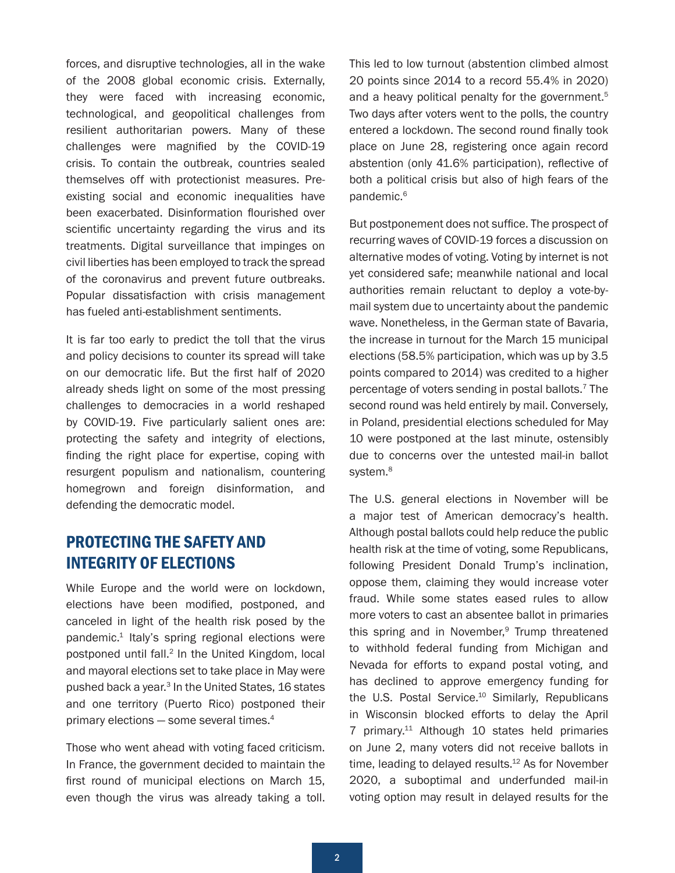<span id="page-1-0"></span>forces, and disruptive technologies, all in the wake of the 2008 global economic crisis. Externally, they were faced with increasing economic, technological, and geopolitical challenges from resilient authoritarian powers. Many of these challenges were magnified by the COVID-19 crisis. To contain the outbreak, countries sealed themselves off with protectionist measures. Preexisting social and economic inequalities have been exacerbated. Disinformation flourished over scientific uncertainty regarding the virus and its treatments. Digital surveillance that impinges on civil liberties has been employed to track the spread of the coronavirus and prevent future outbreaks. Popular dissatisfaction with crisis management has fueled anti-establishment sentiments.

It is far too early to predict the toll that the virus and policy decisions to counter its spread will take on our democratic life. But the first half of 2020 already sheds light on some of the most pressing challenges to democracies in a world reshaped by COVID-19. Five particularly salient ones are: protecting the safety and integrity of elections, finding the right place for expertise, coping with resurgent populism and nationalism, countering homegrown and foreign disinformation, and defending the democratic model.

## PROTECTING THE SAFETY AND INTEGRITY OF ELECTIONS

While Europe and the world were on lockdown, elections have been modified, postponed, and canceled in light of the health risk posed by the pandemic.<sup>1</sup> Italy's spring regional elections were postponed until fall.<sup>[2](#page-7-0)</sup> In the United Kingdom, local and mayoral elections set to take place in May were pushed back a year[.3](#page-7-0) In the United States, 16 states and one territory (Puerto Rico) postponed their primary elections — some several times[.4](#page-7-0)

Those who went ahead with voting faced criticism. In France, the government decided to maintain the first round of municipal elections on March 15, even though the virus was already taking a toll.

This led to low turnout (abstention climbed almost 20 points since 2014 to a record 55.4% in 2020) and a heavy political penalty for the government.<sup>[5](#page-7-0)</sup> Two days after voters went to the polls, the country entered a lockdown. The second round finally took place on June 28, registering once again record abstention (only 41.6% participation), reflective of both a political crisis but also of high fears of the pandemic.<sup>[6](#page-7-0)</sup>

But postponement does not suffice. The prospect of recurring waves of COVID-19 forces a discussion on alternative modes of voting. Voting by internet is not yet considered safe; meanwhile national and local authorities remain reluctant to deploy a vote-bymail system due to uncertainty about the pandemic wave. Nonetheless, in the German state of Bavaria, the increase in turnout for the March 15 municipal elections (58.5% participation, which was up by 3.5 points compared to 2014) was credited to a higher percentage of voters sending in postal ballots.[7](#page-7-0) The second round was held entirely by mail. Conversely, in Poland, presidential elections scheduled for May 10 were postponed at the last minute, ostensibly due to concerns over the untested mail-in ballot system.<sup>8</sup>

The U.S. general elections in November will be a major test of American democracy's health. Although postal ballots could help reduce the public health risk at the time of voting, some Republicans, following President Donald Trump's inclination, oppose them, claiming they would increase voter fraud. While some states eased rules to allow more voters to cast an absentee ballot in primaries this spring and in November, $9$  Trump threatened to withhold federal funding from Michigan and Nevada for efforts to expand postal voting, and has declined to approve emergency funding for the U.S. Postal Service.<sup>10</sup> Similarly, Republicans in Wisconsin blocked efforts to delay the April 7 primary[.11](#page-7-0) Although 10 states held primaries on June 2, many voters did not receive ballots in time, leading to delayed results.<sup>12</sup> As for November 2020, a suboptimal and underfunded mail-in voting option may result in delayed results for the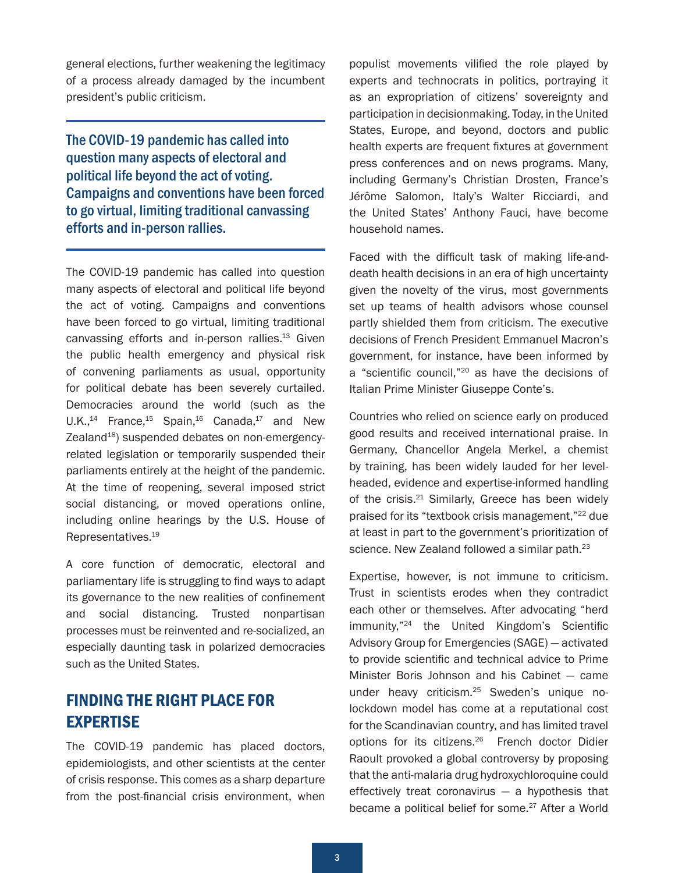<span id="page-2-0"></span>general elections, further weakening the legitimacy of a process already damaged by the incumbent president's public criticism.

The COVID-19 pandemic has called into question many aspects of electoral and political life beyond the act of voting. Campaigns and conventions have been forced to go virtual, limiting traditional canvassing efforts and in-person rallies.

The COVID-19 pandemic has called into question many aspects of electoral and political life beyond the act of voting. Campaigns and conventions have been forced to go virtual, limiting traditional canvassing efforts and in-person rallies.<sup>13</sup> Given the public health emergency and physical risk of convening parliaments as usual, opportunity for political debate has been severely curtailed. Democracies around the world (such as the  $U.K.,<sup>14</sup>$  France,<sup>[15](#page-8-0)</sup> Spain,<sup>16</sup> Canada,<sup>17</sup> and New Zealand<sup>18</sup>) suspended debates on non-emergencyrelated legislation or temporarily suspended their parliaments entirely at the height of the pandemic. At the time of reopening, several imposed strict social distancing, or moved operations online, including online hearings by the U.S. House of Representatives[.19](#page-8-0)

A core function of democratic, electoral and parliamentary life is struggling to find ways to adapt its governance to the new realities of confinement and social distancing. Trusted nonpartisan processes must be reinvented and re-socialized, an especially daunting task in polarized democracies such as the United States.

### FINDING THE RIGHT PLACE FOR EXPERTISE

The COVID-19 pandemic has placed doctors, epidemiologists, and other scientists at the center of crisis response. This comes as a sharp departure from the post-financial crisis environment, when

populist movements vilified the role played by experts and technocrats in politics, portraying it as an expropriation of citizens' sovereignty and participation in decisionmaking. Today, in the United States, Europe, and beyond, doctors and public health experts are frequent fixtures at government press conferences and on news programs. Many, including Germany's Christian Drosten, France's Jérôme Salomon, Italy's Walter Ricciardi, and the United States' Anthony Fauci, have [become](https://www.theguardian.com/world/2020/mar/22/coronavirus-meet-the-scientists-who-are-now-household-names) [household names.](https://www.theguardian.com/world/2020/mar/22/coronavirus-meet-the-scientists-who-are-now-household-names)

Faced with the difficult task of making life-anddeath health decisions in an era of high uncertainty given the novelty of the virus, most governments set up teams of health advisors whose counsel partly shielded them from criticism. The executive decisions of French President Emmanuel Macron's government, for instance, have been informed by a "scientific council,"[20](#page-8-0) as have the decisions of Italian Prime Minister Giuseppe Conte's.

Countries who relied on science early on produced good results and received international praise. In Germany, Chancellor Angela Merkel, a chemist by training, has been widely lauded for her levelheaded, evidence and expertise-informed handling of the crisis.<sup>21</sup> Similarly, Greece has been widely praised for its "textbook crisis management,"[22](#page-8-0) due at least in part to the government's prioritization of science. New Zealand followed a similar path.<sup>[23](#page-8-0)</sup>

Expertise, however, is not immune to criticism. Trust in scientists erodes when they contradict each other or themselves. After advocating "herd immunity,"[24](#page-9-0) the United Kingdom's Scientific Advisory Group for Emergencies (SAGE) — activated to provide scientific and technical advice to Prime Minister Boris Johnson and his Cabinet — came under heavy criticism.[25](#page-9-0) Sweden's unique nolockdown model has come at a reputational cost for the Scandinavian country, and has limited travel options for its citizens[.26](#page-9-0) French doctor Didier Raoult provoked a global controversy by proposing that the anti-malaria drug hydroxychloroquine could effectively treat coronavirus  $-$  a hypothesis that became a political belief for some.<sup>[27](#page-9-0)</sup> After a World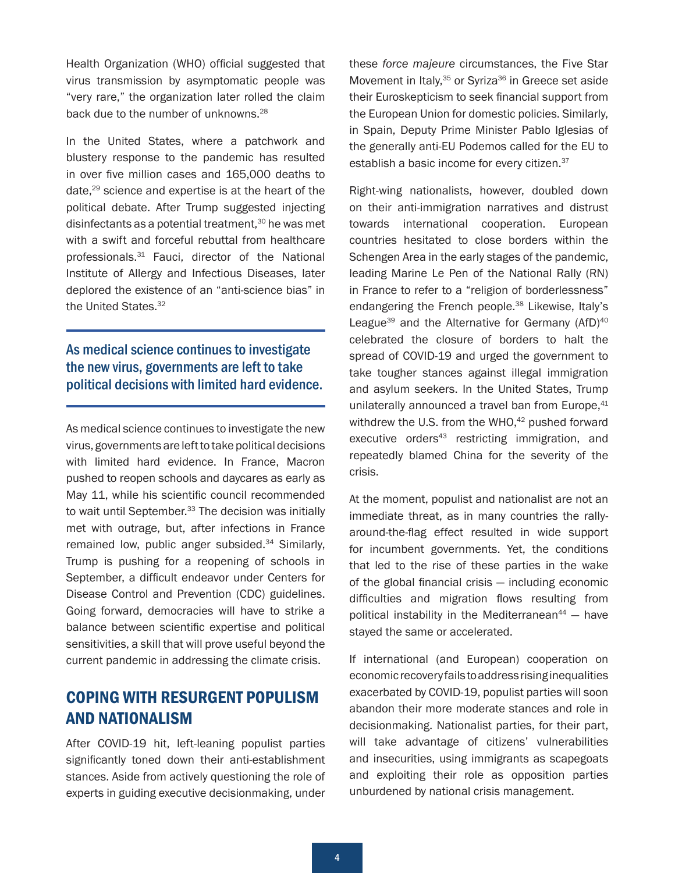<span id="page-3-0"></span>Health Organization (WHO) official suggested that virus transmission by asymptomatic people was "very rare," the organization later rolled the claim back due to the number of unknowns.<sup>[28](#page-9-0)</sup>

In the United States, where a patchwork and blustery response to the pandemic has resulted in over five million cases and 165,000 deaths to date,<sup>29</sup> science and expertise is at the heart of the political debate. After Trump suggested injecting disinfectants as a potential treatment, $30$  he was met with a swift and forceful rebuttal from healthcare professionals[.31](#page-9-0) Fauci, director of the National Institute of Allergy and Infectious Diseases, later deplored the existence of an "anti-science bias" in the United States.<sup>[32](#page-9-0)</sup>

#### As medical science continues to investigate the new virus, governments are left to take political decisions with limited hard evidence.

As medical science continues to investigate the new virus, governments are left to take political decisions with limited hard evidence. In France, Macron pushed to reopen schools and daycares as early as May 11, while his scientific council recommended to wait until September.<sup>[33](#page-9-0)</sup> The decision was initially met with outrage, but, after infections in France remained low, public anger subsided.<sup>[34](#page-9-0)</sup> Similarly, Trump is pushing for a reopening of schools in September, a difficult endeavor under Centers for Disease Control and Prevention (CDC) guidelines. Going forward, democracies will have to strike a balance between scientific expertise and political sensitivities, a skill that will prove useful beyond the current pandemic in addressing the climate crisis.

# COPING WITH RESURGENT POPULISM AND NATIONALISM

After COVID-19 hit, left-leaning populist parties significantly toned down their anti-establishment stances. Aside from actively questioning the role of experts in guiding executive decisionmaking, under

these *force majeure* circumstances, the Five Star Movement in Italy,<sup>[35](#page-9-0)</sup> or Syriza<sup>[36](#page-9-0)</sup> in Greece set aside their Euroskepticism to seek financial support from the European Union for domestic policies. Similarly, in Spain, Deputy Prime Minister Pablo Iglesias of the generally anti-EU Podemos called for the EU to establish a basic income for every citizen.<sup>37</sup>

Right-wing nationalists, however, doubled down on their anti-immigration narratives and distrust towards international cooperation. European countries hesitated to close borders within the Schengen Area in the early stages of the pandemic, leading Marine Le Pen of the National Rally (RN) in France to refer to a "religion of borderlessness" endangering the French people.<sup>[38](#page-10-0)</sup> Likewise, Italy's League<sup>39</sup> and the Alternative for Germany  $(AfD)^{40}$ celebrated the closure of borders to halt the spread of COVID-19 and urged the government to take tougher stances against illegal immigration and asylum seekers. In the United States, Trump unilaterally announced a travel ban from Europe, [41](#page-10-0) withdrew the U.S. from the WHO, $42$  pushed forward executive orders<sup>[43](#page-10-0)</sup> restricting immigration, and repeatedly blamed China for the severity of the crisis.

At the moment, populist and nationalist are not an immediate threat, as in many countries the rallyaround-the-flag effect resulted in wide support for incumbent governments. Yet, the conditions that led to the rise of these parties in the wake of the global financial crisis — including economic difficulties and migration flows resulting from political instability in the Mediterranean<sup>44</sup>  $-$  have stayed the same or accelerated.

If international (and European) cooperation on economic recovery fails to address rising inequalities exacerbated by COVID-19, populist parties will soon abandon their more moderate stances and role in decisionmaking. Nationalist parties, for their part, will take advantage of citizens' vulnerabilities and insecurities, using immigrants as scapegoats and exploiting their role as opposition parties unburdened by national crisis management.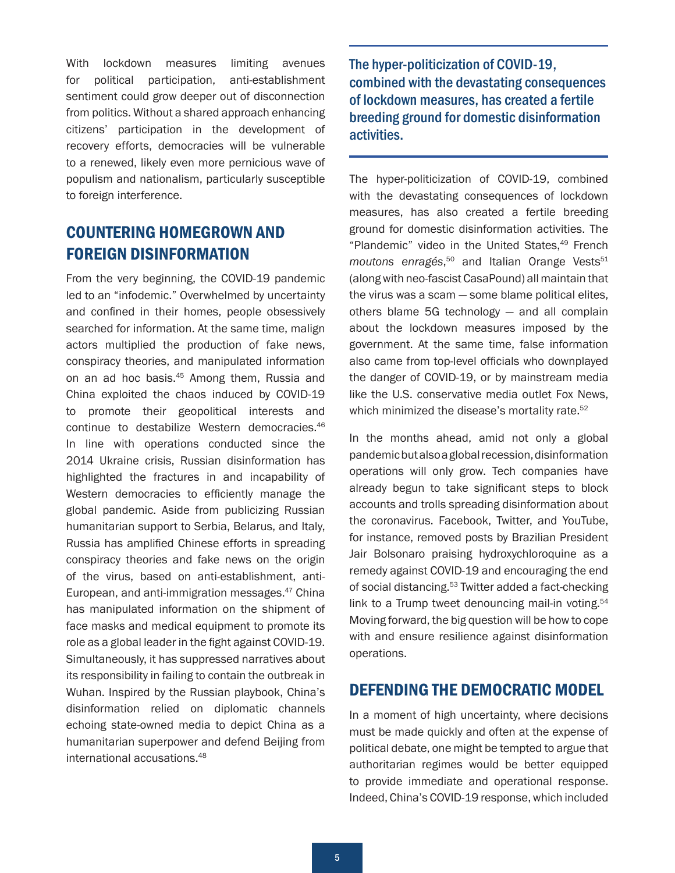<span id="page-4-0"></span>With lockdown measures limiting avenues for political participation, anti-establishment sentiment could grow deeper out of disconnection from politics. Without a shared approach enhancing citizens' participation in the development of recovery efforts, democracies will be vulnerable to a renewed, likely even more pernicious wave of populism and nationalism, particularly susceptible to foreign interference.

# COUNTERING HOMEGROWN AND FOREIGN DISINFORMATION

From the very beginning, the COVID-19 pandemic led to an "infodemic." Overwhelmed by uncertainty and confined in their homes, people obsessively searched for information. At the same time, malign actors multiplied the production of fake news, conspiracy theories, and manipulated information on an ad hoc basis.[45](#page-10-0) Among them, Russia and China exploited the chaos induced by COVID-19 to promote their geopolitical interests and continue to destabilize Western democracies[.46](#page-10-0) In line with operations conducted since the 2014 Ukraine crisis, Russian disinformation has highlighted the fractures in and incapability of Western democracies to efficiently manage the global pandemic. Aside from publicizing Russian humanitarian support to Serbia, Belarus, and Italy, Russia has amplified Chinese efforts in spreading conspiracy theories and fake news on the origin of the virus, based on anti-establishment, anti-European, and anti-immigration messages.[47](#page-10-0) China has manipulated information on the shipment of face masks and medical equipment to promote its role as a global leader in the fight against COVID-19. Simultaneously, it has suppressed narratives about its responsibility in failing to contain the outbreak in Wuhan. Inspired by the Russian playbook, China's disinformation relied on diplomatic channels echoing state-owned media to depict China as a humanitarian superpower and defend Beijing from international accusations.[48](#page-11-0)

The hyper-politicization of COVID-19, combined with the devastating consequences of lockdown measures, has created a fertile breeding ground for domestic disinformation activities.

The hyper-politicization of COVID-19, combined with the devastating consequences of lockdown measures, has also created a fertile breeding ground for domestic disinformation activities. The "Plandemic" video in the United States, $49$  French moutons enragés,<sup>[50](#page-11-0)</sup> and Italian Orange Vests<sup>[51](#page-11-0)</sup> (along with neo-fascist CasaPound) all maintain that the virus was a scam — some blame political elites, others blame 5G technology — and all complain about the lockdown measures imposed by the government. At the same time, false information also came from top-level officials who downplayed the danger of COVID-19, or by mainstream media like the U.S. conservative media outlet Fox News, which minimized the disease's mortality rate.<sup>[52](#page-11-0)</sup>

In the months ahead, amid not only a global pandemic but also a global recession, disinformation operations will only grow. Tech companies have already begun to take significant steps to block accounts and trolls spreading disinformation about the coronavirus. Facebook, Twitter, and YouTube, for instance, removed posts by Brazilian President Jair Bolsonaro praising hydroxychloroquine as a remedy against COVID-19 and encouraging the end of social distancing.<sup>[53](#page-11-0)</sup> Twitter added a fact-checking link to a Trump tweet denouncing mail-in voting.<sup>[54](#page-11-0)</sup> Moving forward, the big question will be how to cope with and ensure resilience against disinformation operations.

### DEFENDING THE DEMOCRATIC MODEL

In a moment of high uncertainty, where decisions must be made quickly and often at the expense of political debate, one might be tempted to argue that authoritarian regimes would be better equipped to provide immediate and operational response. Indeed, China's COVID-19 response, which included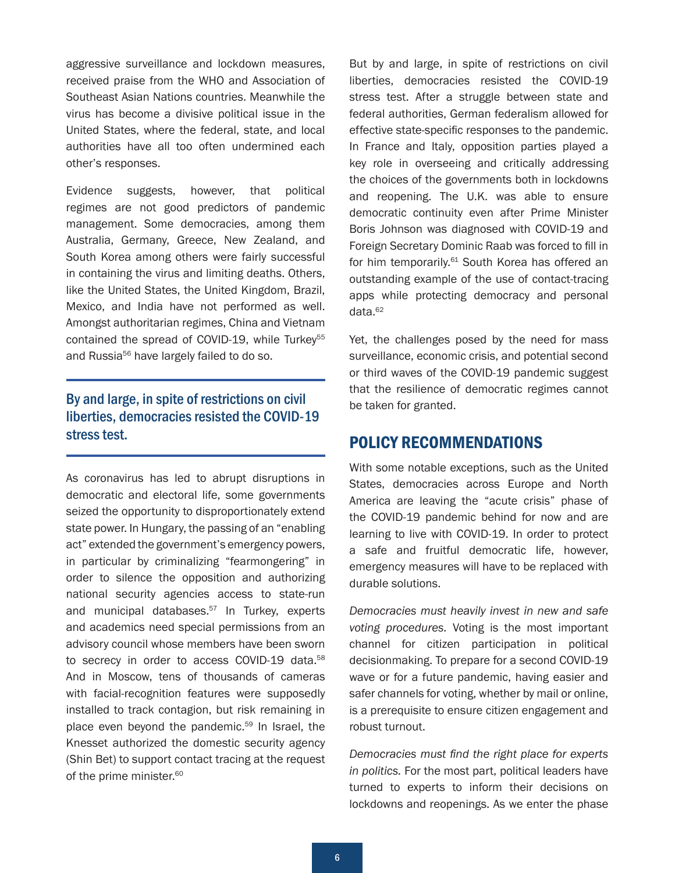<span id="page-5-0"></span>aggressive surveillance and lockdown measures, received praise from the WHO and Association of Southeast Asian Nations countries. Meanwhile the virus has become a divisive political issue in the United States, where the federal, state, and local authorities have all too often undermined each other's responses.

Evidence suggests, however, that political regimes are not good predictors of pandemic management. Some democracies, among them Australia, Germany, Greece, New Zealand, and South Korea among others were fairly successful in containing the virus and limiting deaths. Others, like the United States, the United Kingdom, Brazil, Mexico, and India have not performed as well. Amongst authoritarian regimes, China and Vietnam contained the spread of COVID-19, while Turkey<sup>[55](#page-11-0)</sup> and Russia<sup>[56](#page-11-0)</sup> have largely failed to do so.

#### By and large, in spite of restrictions on civil liberties, democracies resisted the COVID-19 stress test.

As coronavirus has led to abrupt disruptions in democratic and electoral life, some governments seized the opportunity to disproportionately extend state power. In Hungary, the passing of an "enabling act" extended the government's emergency powers, in particular by criminalizing "fearmongering" in order to silence the opposition and authorizing national security agencies access to state-run and municipal databases.<sup>[57](#page-11-0)</sup> In Turkey, experts and academics need special permissions from an advisory council whose members have been sworn to secrecy in order to access COVID-19 data.<sup>[58](#page-11-0)</sup> And in Moscow, tens of thousands of cameras with facial-recognition features were supposedly installed to track contagion, but risk remaining in place even beyond the pandemic.<sup>[59](#page-11-0)</sup> In Israel, the Knesset authorized the domestic security agency (Shin Bet) to support contact tracing at the request of the prime minister.<sup>[60](#page-11-0)</sup>

But by and large, in spite of restrictions on civil liberties, democracies resisted the COVID-19 stress test. After a struggle between state and federal authorities, German federalism allowed for effective state-specific responses to the pandemic. In France and Italy, opposition parties played a key role in overseeing and critically addressing the choices of the governments both in lockdowns and reopening. The U.K. was able to ensure democratic continuity even after Prime Minister Boris Johnson was diagnosed with COVID-19 and Foreign Secretary Dominic Raab was forced to fill in for him temporarily.<sup>[61](#page-12-0)</sup> South Korea has offered an outstanding example of the use of contact-tracing apps while protecting democracy and personal data.[62](#page-12-0)

Yet, the challenges posed by the need for mass surveillance, economic crisis, and potential second or third waves of the COVID-19 pandemic suggest that the resilience of democratic regimes cannot be taken for granted.

#### POLICY RECOMMENDATIONS

With some notable exceptions, such as the United States, democracies across Europe and North America are leaving the "acute crisis" phase of the COVID-19 pandemic behind for now and are learning to live with COVID-19. In order to protect a safe and fruitful democratic life, however, emergency measures will have to be replaced with durable solutions.

*Democracies must heavily invest in new and safe voting procedures.* Voting is the most important channel for citizen participation in political decisionmaking. To prepare for a second COVID-19 wave or for a future pandemic, having easier and safer channels for voting, whether by mail or online, is a prerequisite to ensure citizen engagement and robust turnout.

*Democracies must find the right place for experts in politics.* For the most part, political leaders have turned to experts to inform their decisions on lockdowns and reopenings. As we enter the phase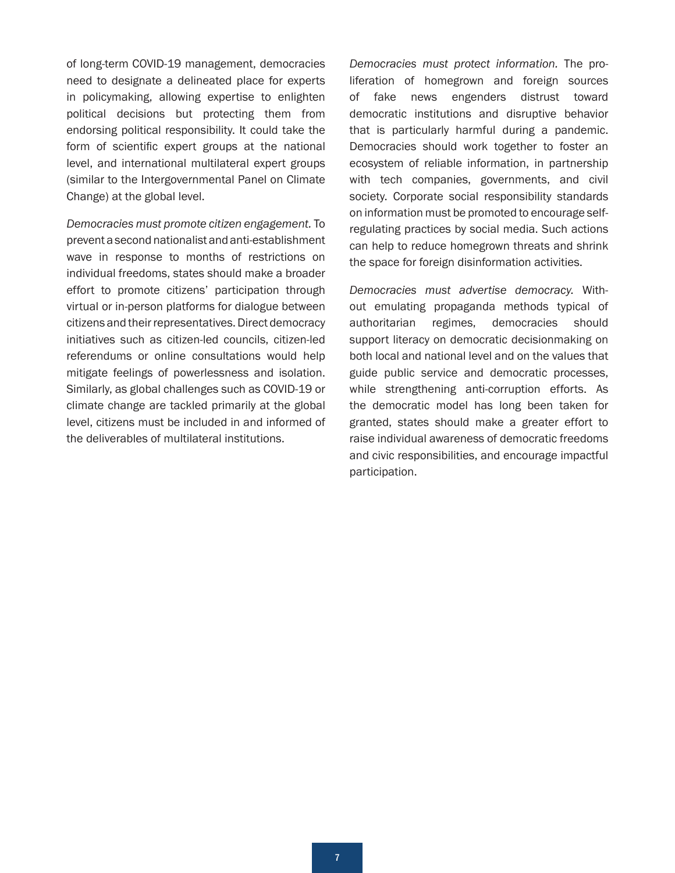of long-term COVID-19 management, democracies need to designate a delineated place for experts in policymaking, allowing expertise to enlighten political decisions but protecting them from endorsing political responsibility. It could take the form of scientific expert groups at the national level, and international multilateral expert groups (similar to the Intergovernmental Panel on Climate Change) at the global level.

*Democracies must promote citizen engagement.* To prevent a second nationalist and anti-establishment wave in response to months of restrictions on individual freedoms, states should make a broader effort to promote citizens' participation through virtual or in-person platforms for dialogue between citizens and their representatives. Direct democracy initiatives such as citizen-led councils, citizen-led referendums or online consultations would help mitigate feelings of powerlessness and isolation. Similarly, as global challenges such as COVID-19 or climate change are tackled primarily at the global level, citizens must be included in and informed of the deliverables of multilateral institutions.

*Democracies must protect information.* The proliferation of homegrown and foreign sources of fake news engenders distrust toward democratic institutions and disruptive behavior that is particularly harmful during a pandemic. Democracies should work together to foster an ecosystem of reliable information, in partnership with tech companies, governments, and civil society. Corporate social responsibility standards on information must be promoted to encourage selfregulating practices by social media. Such actions can help to reduce homegrown threats and shrink the space for foreign disinformation activities.

*Democracies must advertise democracy.* Without emulating propaganda methods typical of authoritarian regimes, democracies should support literacy on democratic decisionmaking on both local and national level and on the values that guide public service and democratic processes, while strengthening anti-corruption efforts. As the democratic model has long been taken for granted, states should make a greater effort to raise individual awareness of democratic freedoms and civic responsibilities, and encourage impactful participation.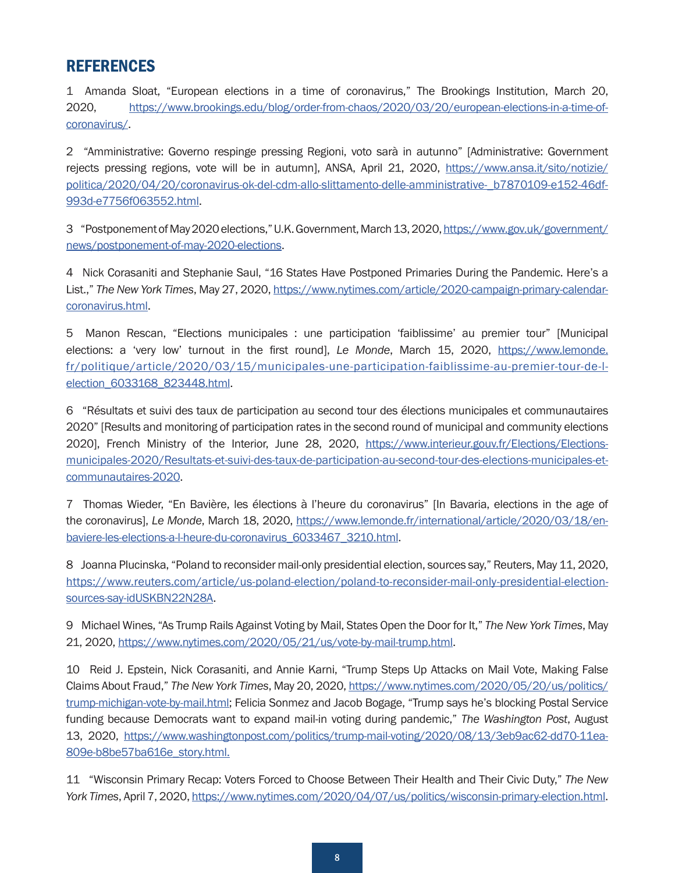### <span id="page-7-0"></span>REFERENCES

[1](#page-1-0) Amanda Sloat, "European elections in a time of coronavirus," The Brookings Institution, March 20, 2020, [https://www.brookings.edu/blog/order-from-chaos/2020/03/20/european-elections-in-a-time-of](https://www.brookings.edu/blog/order-from-chaos/2020/03/20/european-elections-in-a-time-of-coronavirus/)[coronavirus/](https://www.brookings.edu/blog/order-from-chaos/2020/03/20/european-elections-in-a-time-of-coronavirus/).

[2](#page-1-0) "Amministrative: Governo respinge pressing Regioni, voto sarà in autunno" [Administrative: Government rejects pressing regions, vote will be in autumn], ANSA, April 21, 2020, [https://www.ansa.it/sito/notizie/](https://www.ansa.it/sito/notizie/politica/2020/04/20/coronavirus-ok-del-cdm-allo-slittamento-delle-amministrative-_b7870109-e152-46df-993d-e7756f063552.html) [politica/2020/04/20/coronavirus-ok-del-cdm-allo-slittamento-delle-amministrative-\\_b7870109-e152-46df-](https://www.ansa.it/sito/notizie/politica/2020/04/20/coronavirus-ok-del-cdm-allo-slittamento-delle-amministrative-_b7870109-e152-46df-993d-e7756f063552.html)[993d-e7756f063552.html](https://www.ansa.it/sito/notizie/politica/2020/04/20/coronavirus-ok-del-cdm-allo-slittamento-delle-amministrative-_b7870109-e152-46df-993d-e7756f063552.html).

[3](#page-1-0) "Postponement of May 2020 elections," U.K. Government, March 13, 2020, [https://www.gov.uk/government/](https://www.gov.uk/government/news/postponement-of-may-2020-elections) [news/postponement-of-may-2020-elections](https://www.gov.uk/government/news/postponement-of-may-2020-elections).

[4](#page-1-0) Nick Corasaniti and Stephanie Saul, "16 States Have Postponed Primaries During the Pandemic. Here's a List.," *The New York Times*, May 27, 2020, [https://www.nytimes.com/article/2020-campaign-primary-calendar](https://www.nytimes.com/article/2020-campaign-primary-calendar-coronavirus.html)[coronavirus.html](https://www.nytimes.com/article/2020-campaign-primary-calendar-coronavirus.html).

[5](#page-1-0) Manon Rescan, "Elections municipales : une participation 'faiblissime' au premier tour" [Municipal elections: a 'very low' turnout in the first round], *Le Monde*, March 15, 2020, [https://www.lemonde.](https://www.lemonde.fr/politique/article/2020/03/15/municipales-une-participation-faiblissime-au-premier-tour-de-l-election_6033168_823448.html) [fr/politique/article/2020/03/15/municipales-une-participation-faiblissime-au-premier-tour-de-l](https://www.lemonde.fr/politique/article/2020/03/15/municipales-une-participation-faiblissime-au-premier-tour-de-l-election_6033168_823448.html)[election\\_6033168\\_823448.html](https://www.lemonde.fr/politique/article/2020/03/15/municipales-une-participation-faiblissime-au-premier-tour-de-l-election_6033168_823448.html).

[6](#page-1-0) "Résultats et suivi des taux de participation au second tour des élections municipales et communautaires 2020" [Results and monitoring of participation rates in the second round of municipal and community elections 2020], French Ministry of the Interior, June 28, 2020, [https://www.interieur.gouv.fr/Elections/Elections](https://www.interieur.gouv.fr/Elections/Elections-municipales-2020/Resultats-et-suivi-des-taux-de-participation-au-second-tour-des-elections-municipales-et-communautaires-2020)[municipales-2020/Resultats-et-suivi-des-taux-de-participation-au-second-tour-des-elections-municipales-et](https://www.interieur.gouv.fr/Elections/Elections-municipales-2020/Resultats-et-suivi-des-taux-de-participation-au-second-tour-des-elections-municipales-et-communautaires-2020)[communautaires-2020](https://www.interieur.gouv.fr/Elections/Elections-municipales-2020/Resultats-et-suivi-des-taux-de-participation-au-second-tour-des-elections-municipales-et-communautaires-2020).

[7](#page-1-0) Thomas Wieder, "En Bavière, les élections à l'heure du coronavirus" [In Bavaria, elections in the age of the coronavirus], *Le Monde*, March 18, 2020, [https://www.lemonde.fr/international/article/2020/03/18/en](https://www.lemonde.fr/international/article/2020/03/18/en-baviere-les-elections-a-l-heure-du-coronavirus_6033467_3210.html)[baviere-les-elections-a-l-heure-du-coronavirus\\_6033467\\_3210.html](https://www.lemonde.fr/international/article/2020/03/18/en-baviere-les-elections-a-l-heure-du-coronavirus_6033467_3210.html).

[8](#page-1-0) Joanna Plucinska, "Poland to reconsider mail-only presidential election, sources say," Reuters, May 11, 2020, [https://www.reuters.com/article/us-poland-election/poland-to-reconsider-mail-only-presidential-election](https://www.reuters.com/article/us-poland-election/poland-to-reconsider-mail-only-presidential-election-sources-say-idUSKBN22N28A)[sources-say-idUSKBN22N28A](https://www.reuters.com/article/us-poland-election/poland-to-reconsider-mail-only-presidential-election-sources-say-idUSKBN22N28A).

[9](#page-1-0) Michael Wines, "As Trump Rails Against Voting by Mail, States Open the Door for It," *The New York Times*, May 21, 2020, <https://www.nytimes.com/2020/05/21/us/vote-by-mail-trump.html>.

[10](#page-1-0) Reid J. Epstein, Nick Corasaniti, and Annie Karni, "Trump Steps Up Attacks on Mail Vote, Making False Claims About Fraud," *The New York Times*, May 20, 2020, [https://www.nytimes.com/2020/05/20/us/politics/](https://www.nytimes.com/2020/05/20/us/politics/trump-michigan-vote-by-mail.html) [trump-michigan-vote-by-mail.html;](https://www.nytimes.com/2020/05/20/us/politics/trump-michigan-vote-by-mail.html) Felicia Sonmez and Jacob Bogage, "Trump says he's blocking Postal Service funding because Democrats want to expand mail-in voting during pandemic," *The Washington Post*, August 13, 2020, [https://www.washingtonpost.com/politics/trump-mail-voting/2020/08/13/3eb9ac62-dd70-11ea-](https://www.washingtonpost.com/politics/trump-mail-voting/2020/08/13/3eb9ac62-dd70-11ea-809e-b8be57ba616e_story.html)[809e-b8be57ba616e\\_story.html](https://www.washingtonpost.com/politics/trump-mail-voting/2020/08/13/3eb9ac62-dd70-11ea-809e-b8be57ba616e_story.html).

[11](#page-1-0) "Wisconsin Primary Recap: Voters Forced to Choose Between Their Health and Their Civic Duty," *The New York Times*, April 7, 2020, <https://www.nytimes.com/2020/04/07/us/politics/wisconsin-primary-election.html>.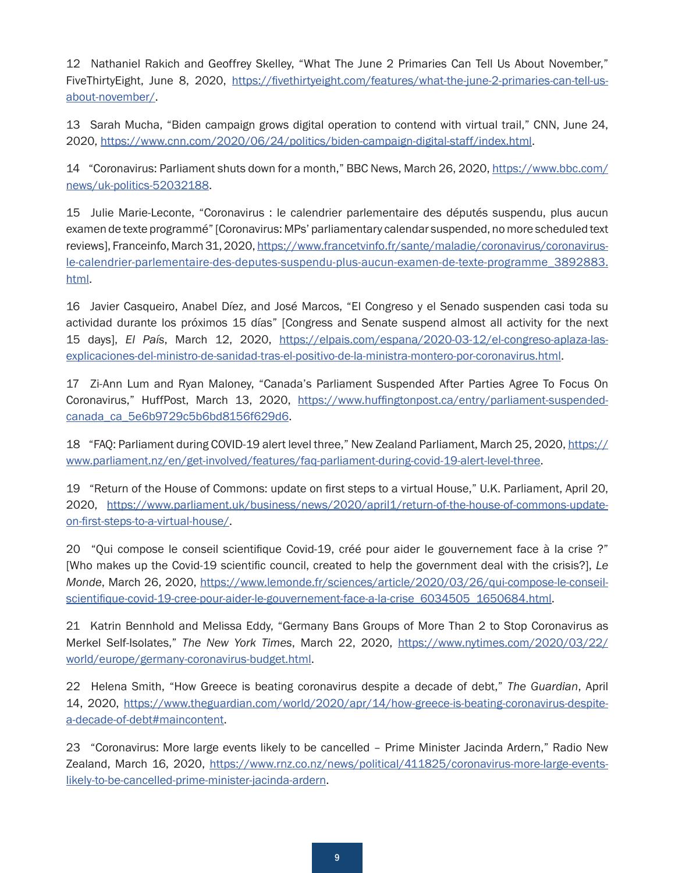<span id="page-8-0"></span>[12](#page-1-0) Nathaniel Rakich and Geoffrey Skelley, "What The June 2 Primaries Can Tell Us About November," FiveThirtyEight, June 8, 2020, [https://fivethirtyeight.com/features/what-the-june-2-primaries-can-tell-us](https://fivethirtyeight.com/features/what-the-june-2-primaries-can-tell-us-about-november/)[about-november/](https://fivethirtyeight.com/features/what-the-june-2-primaries-can-tell-us-about-november/).

[13](#page-2-0) Sarah Mucha, "Biden campaign grows digital operation to contend with virtual trail," CNN, June 24, 2020, <https://www.cnn.com/2020/06/24/politics/biden-campaign-digital-staff/index.html>.

[14](#page-2-0) "Coronavirus: Parliament shuts down for a month," BBC News, March 26, 2020, [https://www.bbc.com/](https://www.bbc.com/news/uk-politics-52032188) [news/uk-politics-52032188](https://www.bbc.com/news/uk-politics-52032188).

[15](#page-2-0) Julie Marie-Leconte, "Coronavirus : le calendrier parlementaire des députés suspendu, plus aucun examen de texte programmé" [Coronavirus: MPs' parliamentary calendar suspended, no more scheduled text reviews], Franceinfo, March 31, 2020, [https://www.francetvinfo.fr/sante/maladie/coronavirus/coronavirus](https://www.francetvinfo.fr/sante/maladie/coronavirus/coronavirus-le-calendrier-parlementaire-des-deputes-suspendu-plus-aucun-examen-de-texte-programme_3892883.html)[le-calendrier-parlementaire-des-deputes-suspendu-plus-aucun-examen-de-texte-programme\\_3892883.](https://www.francetvinfo.fr/sante/maladie/coronavirus/coronavirus-le-calendrier-parlementaire-des-deputes-suspendu-plus-aucun-examen-de-texte-programme_3892883.html) [html.](https://www.francetvinfo.fr/sante/maladie/coronavirus/coronavirus-le-calendrier-parlementaire-des-deputes-suspendu-plus-aucun-examen-de-texte-programme_3892883.html)

[16](#page-2-0) Javier Casqueiro, Anabel Díez, and José Marcos, "El Congreso y el Senado suspenden casi toda su actividad durante los próximos 15 días" [Congress and Senate suspend almost all activity for the next 15 days], *El País*, March 12, 2020, [https://elpais.com/espana/2020-03-12/el-congreso-aplaza-las](https://elpais.com/espana/2020-03-12/el-congreso-aplaza-las-explicaciones-del-ministro-de-sanidad-tras-el-positivo-de-la-ministra-montero-por-coronavirus.html)[explicaciones-del-ministro-de-sanidad-tras-el-positivo-de-la-ministra-montero-por-coronavirus.html](https://elpais.com/espana/2020-03-12/el-congreso-aplaza-las-explicaciones-del-ministro-de-sanidad-tras-el-positivo-de-la-ministra-montero-por-coronavirus.html).

[17](#page-2-0) Zi-Ann Lum and Ryan Maloney, "Canada's Parliament Suspended After Parties Agree To Focus On Coronavirus," HuffPost, March 13, 2020, [https://www.huffingtonpost.ca/entry/parliament-suspended](https://www.huffingtonpost.ca/entry/parliament-suspended-canada_ca_5e6b9729c5b6bd8156f629d6)[canada\\_ca\\_5e6b9729c5b6bd8156f629d6](https://www.huffingtonpost.ca/entry/parliament-suspended-canada_ca_5e6b9729c5b6bd8156f629d6).

[18](#page-2-0) "FAQ: Parliament during COVID-19 alert level three," New Zealand Parliament, March 25, 2020, [https://](https://www.parliament.nz/en/get-involved/features/faq-parliament-during-covid-19-alert-level-three) [www.parliament.nz/en/get-involved/features/faq-parliament-during-covid-19-alert-level-three](https://www.parliament.nz/en/get-involved/features/faq-parliament-during-covid-19-alert-level-three).

[19](#page-2-0) "Return of the House of Commons: update on first steps to a virtual House," U.K. Parliament, April 20, 2020, [https://www.parliament.uk/business/news/2020/april1/return-of-the-house-of-commons-update](https://www.parliament.uk/business/news/2020/april1/return-of-the-house-of-commons-update-on-first-steps-to-a-virtual-house/)[on-first-steps-to-a-virtual-house/](https://www.parliament.uk/business/news/2020/april1/return-of-the-house-of-commons-update-on-first-steps-to-a-virtual-house/).

[20](#page-2-0) "Qui compose le conseil scientifique Covid-19, créé pour aider le gouvernement face à la crise ?" [Who makes up the Covid-19 scientific council, created to help the government deal with the crisis?], *Le Monde*, March 26, 2020, [https://www.lemonde.fr/sciences/article/2020/03/26/qui-compose-le-conseil](https://www.lemonde.fr/sciences/article/2020/03/26/qui-compose-le-conseil-scientifique-covid-19-cree-pour-aider-le-gouvernement-face-a-la-crise_6034505_1650684.html)[scientifique-covid-19-cree-pour-aider-le-gouvernement-face-a-la-crise\\_6034505\\_1650684.html](https://www.lemonde.fr/sciences/article/2020/03/26/qui-compose-le-conseil-scientifique-covid-19-cree-pour-aider-le-gouvernement-face-a-la-crise_6034505_1650684.html).

[21](#page-2-0) Katrin Bennhold and Melissa Eddy, "Germany Bans Groups of More Than 2 to Stop Coronavirus as Merkel Self-Isolates," *The New York Times*, March 22, 2020, [https://www.nytimes.com/2020/03/22/](https://www.nytimes.com/2020/03/22/world/europe/germany-coronavirus-budget.html) [world/europe/germany-coronavirus-budget.html](https://www.nytimes.com/2020/03/22/world/europe/germany-coronavirus-budget.html).

[22](#page-2-0) Helena Smith, "How Greece is beating coronavirus despite a decade of debt," *The Guardian*, April 14, 2020, https://www.theguardian.com/world/2020/apr/14/how-greece-is-beating-coronavirus-despitea-decade-of-debt#maincontent.

[23](#page-2-0) "Coronavirus: More large events likely to be cancelled – Prime Minister Jacinda Ardern," Radio New Zealand, March 16, 2020, [https://www.rnz.co.nz/news/political/411825/coronavirus-more-large-events](https://www.rnz.co.nz/news/political/411825/coronavirus-more-large-events-likely-to-be-cancelled-prime-minister-jacinda-ardern)[likely-to-be-cancelled-prime-minister-jacinda-ardern.](https://www.rnz.co.nz/news/political/411825/coronavirus-more-large-events-likely-to-be-cancelled-prime-minister-jacinda-ardern)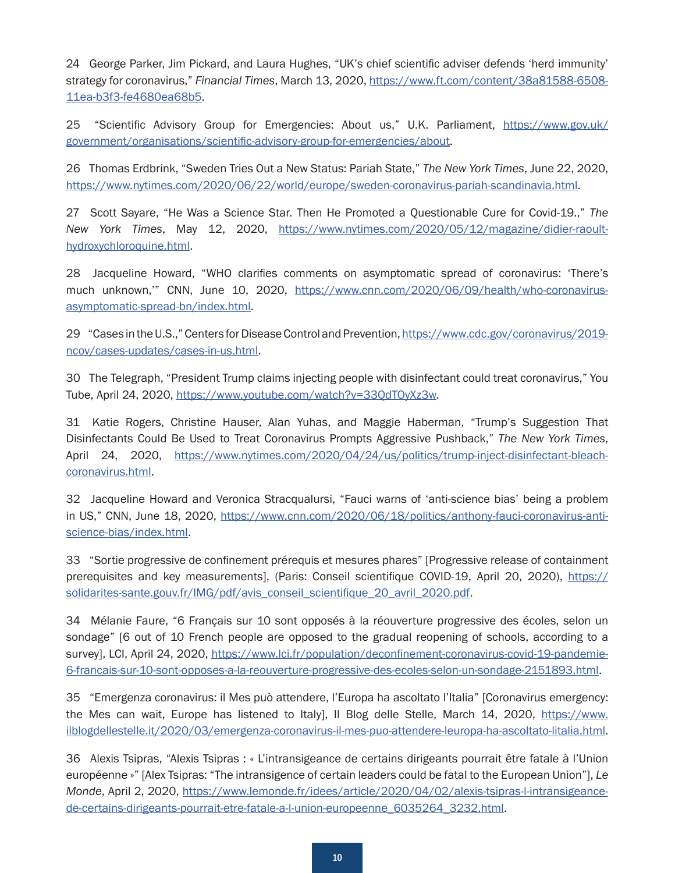<span id="page-9-0"></span>[24](#page-2-0) George Parker, Jim Pickard, and Laura Hughes, "UK's chief scientific adviser defends 'herd immunity' strategy for coronavirus," *Financial Times*, March 13, 2020, [https://www.ft.com/content/38a81588-6508-](https://www.ft.com/content/38a81588-6508-11ea-b3f3-fe4680ea68b5) [11ea-b3f3-fe4680ea68b5](https://www.ft.com/content/38a81588-6508-11ea-b3f3-fe4680ea68b5).

[25](#page-2-0) "Scientific Advisory Group for Emergencies: About us," U.K. Parliament, [https://www.gov.uk/](https://www.gov.uk/government/organisations/scientific-advisory-group-for-emergencies/about) [government/organisations/scientific-advisory-group-for-emergencies/about](https://www.gov.uk/government/organisations/scientific-advisory-group-for-emergencies/about).

[26](#page-2-0) Thomas Erdbrink, "Sweden Tries Out a New Status: Pariah State," *The New York Times*, June 22, 2020, <https://www.nytimes.com/2020/06/22/world/europe/sweden-coronavirus-pariah-scandinavia.html>.

[27](#page-2-0) Scott Sayare, "He Was a Science Star. Then He Promoted a Questionable Cure for Covid-19.," *The New York Times*, May 12, 2020, [https://www.nytimes.com/2020/05/12/magazine/didier-raoult](https://www.nytimes.com/2020/05/12/magazine/didier-raoult-hydroxychloroquine.html)[hydroxychloroquine.html](https://www.nytimes.com/2020/05/12/magazine/didier-raoult-hydroxychloroquine.html).

[28](#page-3-0) Jacqueline Howard, "WHO clarifies comments on asymptomatic spread of coronavirus: 'There's much unknown," CNN, June 10, 2020, [https://www.cnn.com/2020/06/09/health/who-coronavirus](https://www.cnn.com/2020/06/09/health/who-coronavirus-asymptomatic-spread-bn/index.html)[asymptomatic-spread-bn/index.html](https://www.cnn.com/2020/06/09/health/who-coronavirus-asymptomatic-spread-bn/index.html).

[29](#page-3-0) "Cases in the U.S.," Centers for Disease Control and Prevention, [https://www.cdc.gov/coronavirus/2019](https://www.cdc.gov/coronavirus/2019-ncov/cases-updates/cases-in-us.html) [ncov/cases-updates/cases-in-us.html](https://www.cdc.gov/coronavirus/2019-ncov/cases-updates/cases-in-us.html).

[30](#page-3-0) The Telegraph, "President Trump claims injecting people with disinfectant could treat coronavirus," You Tube, April 24, 2020, <https://www.youtube.com/watch?v=33QdTOyXz3w>.

[31](#page-3-0) Katie Rogers, Christine Hauser, Alan Yuhas, and Maggie Haberman, "Trump's Suggestion That Disinfectants Could Be Used to Treat Coronavirus Prompts Aggressive Pushback," *The New York Times*, April 24, 2020, [https://www.nytimes.com/2020/04/24/us/politics/trump-inject-disinfectant-bleach](https://www.nytimes.com/2020/04/24/us/politics/trump-inject-disinfectant-bleach-coronavirus.html)[coronavirus.html](https://www.nytimes.com/2020/04/24/us/politics/trump-inject-disinfectant-bleach-coronavirus.html).

[32](#page-3-0) Jacqueline Howard and Veronica Stracqualursi, "Fauci warns of 'anti-science bias' being a problem in US," CNN, June 18, 2020, [https://www.cnn.com/2020/06/18/politics/anthony-fauci-coronavirus-anti](https://www.cnn.com/2020/06/18/politics/anthony-fauci-coronavirus-anti-science-bias/index.html)[science-bias/index.html](https://www.cnn.com/2020/06/18/politics/anthony-fauci-coronavirus-anti-science-bias/index.html).

[33](#page-3-0) "Sortie progressive de confinement prérequis et mesures phares" [Progressive release of containment prerequisites and key measurements], (Paris: Conseil scientifique COVID-19, April 20, 2020), [https://](https://solidarites-sante.gouv.fr/IMG/pdf/avis_conseil_scientifique_20_avril_2020.pdf) [solidarites-sante.gouv.fr/IMG/pdf/avis\\_conseil\\_scientifique\\_20\\_avril\\_2020.pdf](https://solidarites-sante.gouv.fr/IMG/pdf/avis_conseil_scientifique_20_avril_2020.pdf).

[34](#page-3-0) Mélanie Faure, "6 Français sur 10 sont opposés à la réouverture progressive des écoles, selon un sondage" [6 out of 10 French people are opposed to the gradual reopening of schools, according to a survey], LCI, April 24, 2020, [https://www.lci.fr/population/deconfinement-coronavirus-covid-19-pandemie-](https://www.lci.fr/population/deconfinement-coronavirus-covid-19-pandemie-6-francais-sur-10-sont-opposes-a-la-reouverture-progressive-des-ecoles-selon-un-sondage-2151893.html)[6-francais-sur-10-sont-opposes-a-la-reouverture-progressive-des-ecoles-selon-un-sondage-2151893.html](https://www.lci.fr/population/deconfinement-coronavirus-covid-19-pandemie-6-francais-sur-10-sont-opposes-a-la-reouverture-progressive-des-ecoles-selon-un-sondage-2151893.html).

[35](#page-3-0) "Emergenza coronavirus: il Mes può attendere, l'Europa ha ascoltato l'Italia" [Coronavirus emergency: the Mes can wait, Europe has listened to Italy], Il Blog delle Stelle, March 14, 2020, [https://www.](https://www.ilblogdellestelle.it/2020/03/emergenza-coronavirus-il-mes-puo-attendere-leuropa-ha-ascoltato-litalia.html) [ilblogdellestelle.it/2020/03/emergenza-coronavirus-il-mes-puo-attendere-leuropa-ha-ascoltato-litalia.html](https://www.ilblogdellestelle.it/2020/03/emergenza-coronavirus-il-mes-puo-attendere-leuropa-ha-ascoltato-litalia.html).

[36](#page-3-0) Alexis Tsipras, "Alexis Tsipras : « L'intransigeance de certains dirigeants pourrait être fatale à l'Union européenne »" [Alex Tsipras: "The intransigence of certain leaders could be fatal to the European Union"], *Le Monde*, April 2, 2020, [https://www.lemonde.fr/idees/article/2020/04/02/alexis-tsipras-l-intransigeance](https://www.lemonde.fr/idees/article/2020/04/02/alexis-tsipras-l-intransigeance-de-certains-dirigeants-pourrait-etre-fatale-a-l-union-europeenne_6035264_3232.html)[de-certains-dirigeants-pourrait-etre-fatale-a-l-union-europeenne\\_6035264\\_3232.html](https://www.lemonde.fr/idees/article/2020/04/02/alexis-tsipras-l-intransigeance-de-certains-dirigeants-pourrait-etre-fatale-a-l-union-europeenne_6035264_3232.html).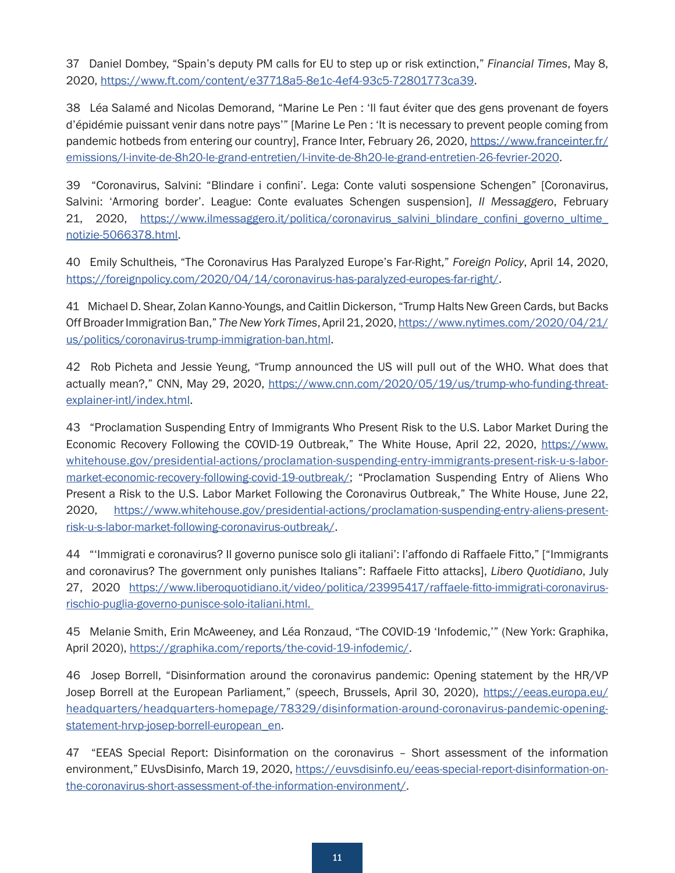<span id="page-10-0"></span>[37](#page-3-0) Daniel Dombey, "Spain's deputy PM calls for EU to step up or risk extinction," *Financial Times*, May 8, 2020, <https://www.ft.com/content/e37718a5-8e1c-4ef4-93c5-72801773ca39>.

[38](#page-3-0) Léa Salamé and Nicolas Demorand, "Marine Le Pen : 'Il faut éviter que des gens provenant de foyers d'épidémie puissant venir dans notre pays'" [Marine Le Pen : 'It is necessary to prevent people coming from pandemic hotbeds from entering our country], France Inter, February 26, 2020, [https://www.franceinter.fr/](https://www.franceinter.fr/emissions/l-invite-de-8h20-le-grand-entretien/l-invite-de-8h20-le-grand-entretien-26-fevrier-2020) [emissions/l-invite-de-8h20-le-grand-entretien/l-invite-de-8h20-le-grand-entretien-26-fevrier-2020](https://www.franceinter.fr/emissions/l-invite-de-8h20-le-grand-entretien/l-invite-de-8h20-le-grand-entretien-26-fevrier-2020).

[39](#page-3-0) "Coronavirus, Salvini: "Blindare i confini'. Lega: Conte valuti sospensione Schengen" [Coronavirus, Salvini: 'Armoring border'. League: Conte evaluates Schengen suspension], *Il Messaggero*, February 21, 2020, [https://www.ilmessaggero.it/politica/coronavirus\\_salvini\\_blindare\\_confini\\_governo\\_ultime\\_](https://www.ilmessaggero.it/politica/coronavirus_salvini_blindare_confini_governo_ultime_notizie-5066378.html) [notizie-5066378.html](https://www.ilmessaggero.it/politica/coronavirus_salvini_blindare_confini_governo_ultime_notizie-5066378.html).

[40](#page-3-0) Emily Schultheis, "The Coronavirus Has Paralyzed Europe's Far-Right," *Foreign Policy*, April 14, 2020, <https://foreignpolicy.com/2020/04/14/coronavirus-has-paralyzed-europes-far-right/>.

[41](#page-3-0) Michael D. Shear, Zolan Kanno-Youngs, and Caitlin Dickerson, "Trump Halts New Green Cards, but Backs Off Broader Immigration Ban," *The New York Times*, April 21, 2020, [https://www.nytimes.com/2020/04/21/](https://www.nytimes.com/2020/04/21/us/politics/coronavirus-trump-immigration-ban.html) [us/politics/coronavirus-trump-immigration-ban.html](https://www.nytimes.com/2020/04/21/us/politics/coronavirus-trump-immigration-ban.html).

[42](#page-3-0) Rob Picheta and Jessie Yeung, "Trump announced the US will pull out of the WHO. What does that actually mean?," CNN, May 29, 2020, [https://www.cnn.com/2020/05/19/us/trump-who-funding-threat](https://www.cnn.com/2020/05/19/us/trump-who-funding-threat-explainer-intl/index.html)[explainer-intl/index.html](https://www.cnn.com/2020/05/19/us/trump-who-funding-threat-explainer-intl/index.html).

[43](#page-3-0) "Proclamation Suspending Entry of Immigrants Who Present Risk to the U.S. Labor Market During the Economic Recovery Following the COVID-19 Outbreak," The White House, April 22, 2020, [https://www.](https://www.whitehouse.gov/presidential-actions/proclamation-suspending-entry-immigrants-present-risk-u-s-labor-market-economic-recovery-following-covid-19-outbreak/) [whitehouse.gov/presidential-actions/proclamation-suspending-entry-immigrants-present-risk-u-s-labor](https://www.whitehouse.gov/presidential-actions/proclamation-suspending-entry-immigrants-present-risk-u-s-labor-market-economic-recovery-following-covid-19-outbreak/)[market-economic-recovery-following-covid-19-outbreak/](https://www.whitehouse.gov/presidential-actions/proclamation-suspending-entry-immigrants-present-risk-u-s-labor-market-economic-recovery-following-covid-19-outbreak/); "Proclamation Suspending Entry of Aliens Who Present a Risk to the U.S. Labor Market Following the Coronavirus Outbreak," The White House, June 22, 2020, [https://www.whitehouse.gov/presidential-actions/proclamation-suspending-entry-aliens-present](https://www.whitehouse.gov/presidential-actions/proclamation-suspending-entry-aliens-present-risk-u-s-labor-market-following-coronavirus-outbreak/)[risk-u-s-labor-market-following-coronavirus-outbreak/](https://www.whitehouse.gov/presidential-actions/proclamation-suspending-entry-aliens-present-risk-u-s-labor-market-following-coronavirus-outbreak/).

[44](#page-3-0) "'Immigrati e coronavirus? Il governo punisce solo gli italiani': l'affondo di Raffaele Fitto," ["Immigrants and coronavirus? The government only punishes Italians": Raffaele Fitto attacks], *Libero Quotidiano*, July 27, 2020 [https://www.liberoquotidiano.it/video/politica/23995417/raffaele-fitto-immigrati-coronavirus](https://www.liberoquotidiano.it/video/politica/23995417/raffaele-fitto-immigrati-coronavirus-rischio-puglia-governo-punisce-solo-italiani.html)[rischio-puglia-governo-punisce-solo-italiani.html](https://www.liberoquotidiano.it/video/politica/23995417/raffaele-fitto-immigrati-coronavirus-rischio-puglia-governo-punisce-solo-italiani.html).

[45](#page-4-0) Melanie Smith, Erin McAweeney, and Léa Ronzaud, "The COVID-19 'Infodemic,'" (New York: Graphika, April 2020), <https://graphika.com/reports/the-covid-19-infodemic/>.

[46](#page-4-0) Josep Borrell, "Disinformation around the coronavirus pandemic: Opening statement by the HR/VP Josep Borrell at the European Parliament," (speech, Brussels, April 30, 2020), [https://eeas.europa.eu/](https://eeas.europa.eu/headquarters/headquarters-homepage/78329/disinformation-around-coronavirus-pandemic-opening-statement-hrvp-josep-borrell-european_en) [headquarters/headquarters-homepage/78329/disinformation-around-coronavirus-pandemic-opening](https://eeas.europa.eu/headquarters/headquarters-homepage/78329/disinformation-around-coronavirus-pandemic-opening-statement-hrvp-josep-borrell-european_en)[statement-hrvp-josep-borrell-european\\_en](https://eeas.europa.eu/headquarters/headquarters-homepage/78329/disinformation-around-coronavirus-pandemic-opening-statement-hrvp-josep-borrell-european_en).

[47](#page-4-0) "EEAS Special Report: Disinformation on the coronavirus – Short assessment of the information environment," EUvsDisinfo, March 19, 2020, [https://euvsdisinfo.eu/eeas-special-report-disinformation-on](https://euvsdisinfo.eu/eeas-special-report-disinformation-on-the-coronavirus-short-assessment-of-the-information-environment/)[the-coronavirus-short-assessment-of-the-information-environment/](https://euvsdisinfo.eu/eeas-special-report-disinformation-on-the-coronavirus-short-assessment-of-the-information-environment/).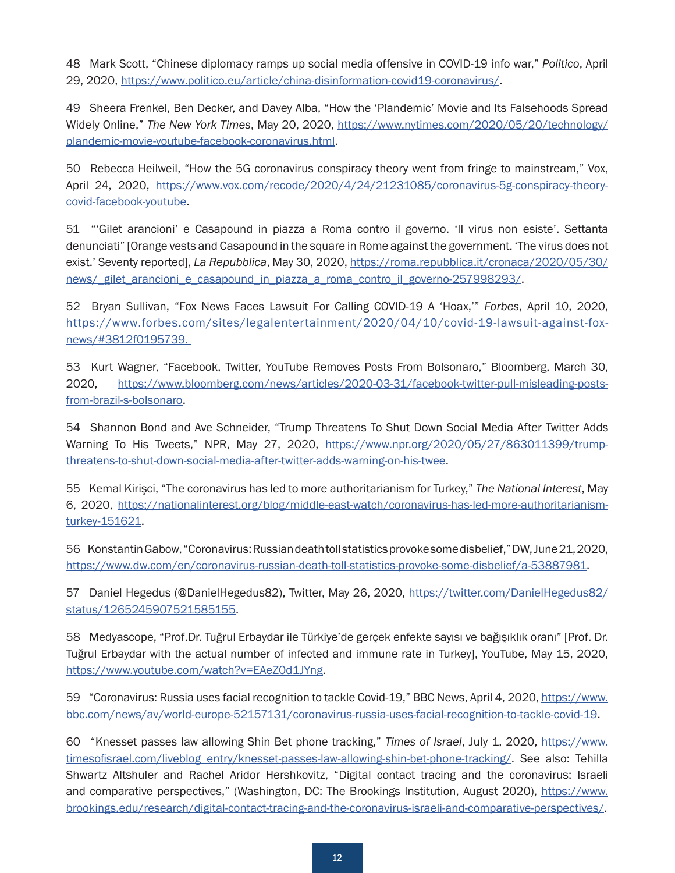<span id="page-11-0"></span>[48](#page-4-0) Mark Scott, "Chinese diplomacy ramps up social media offensive in COVID-19 info war," *Politico*, April 29, 2020, <https://www.politico.eu/article/china-disinformation-covid19-coronavirus/>.

[49](#page-4-0) Sheera Frenkel, Ben Decker, and Davey Alba, "How the 'Plandemic' Movie and Its Falsehoods Spread Widely Online," *The New York Times*, May 20, 2020, [https://www.nytimes.com/2020/05/20/technology/](https://www.nytimes.com/2020/05/20/technology/plandemic-movie-youtube-facebook-coronavirus.html) [plandemic-movie-youtube-facebook-coronavirus.html.](https://www.nytimes.com/2020/05/20/technology/plandemic-movie-youtube-facebook-coronavirus.html)

[50](#page-4-0) Rebecca Heilweil, "How the 5G coronavirus conspiracy theory went from fringe to mainstream," Vox, April 24, 2020, [https://www.vox.com/recode/2020/4/24/21231085/coronavirus-5g-conspiracy-theory](https://www.vox.com/recode/2020/4/24/21231085/coronavirus-5g-conspiracy-theory-covid-facebook-youtube)[covid-facebook-youtube](https://www.vox.com/recode/2020/4/24/21231085/coronavirus-5g-conspiracy-theory-covid-facebook-youtube).

[51](#page-4-0) "'Gilet arancioni' e Casapound in piazza a Roma contro il governo. 'Il virus non esiste'. Settanta denunciati" [Orange vests and Casapound in the square in Rome against the government. 'The virus does not exist.' Seventy reported], *La Repubblica*, May 30, 2020, [https://roma.repubblica.it/cronaca/2020/05/30/](https://roma.repubblica.it/cronaca/2020/05/30/news/_gilet_arancioni_e_casapound_in_piazza_a_roma_contro_il_governo-257998293/) [news/\\_gilet\\_arancioni\\_e\\_casapound\\_in\\_piazza\\_a\\_roma\\_contro\\_il\\_governo-257998293/](https://roma.repubblica.it/cronaca/2020/05/30/news/_gilet_arancioni_e_casapound_in_piazza_a_roma_contro_il_governo-257998293/).

[52](#page-4-0) Bryan Sullivan, "Fox News Faces Lawsuit For Calling COVID-19 A 'Hoax,'" *Forbes*, April 10, 2020, https://www.forbes.com/sites/legalentertainment/2020/04/10/covid-19-lawsuit-against-foxnews/#3812f0195739.

[53](#page-4-0) Kurt Wagner, "Facebook, Twitter, YouTube Removes Posts From Bolsonaro," Bloomberg, March 30, 2020, [https://www.bloomberg.com/news/articles/2020-03-31/facebook-twitter-pull-misleading-posts](https://www.bloomberg.com/news/articles/2020-03-31/facebook-twitter-pull-misleading-posts-from-brazil-s-bolsonaro)[from-brazil-s-bolsonaro.](https://www.bloomberg.com/news/articles/2020-03-31/facebook-twitter-pull-misleading-posts-from-brazil-s-bolsonaro)

[54](#page-4-0) Shannon Bond and Ave Schneider, "Trump Threatens To Shut Down Social Media After Twitter Adds Warning To His Tweets," NPR, May 27, 2020, [https://www.npr.org/2020/05/27/863011399/trump](https://www.npr.org/2020/05/27/863011399/trump-threatens-to-shut-down-social-media-after-twitter-adds-warning-on-his-twee)[threatens-to-shut-down-social-media-after-twitter-adds-warning-on-his-twee](https://www.npr.org/2020/05/27/863011399/trump-threatens-to-shut-down-social-media-after-twitter-adds-warning-on-his-twee).

[55](#page-5-0) Kemal Kirişci, "The coronavirus has led to more authoritarianism for Turkey," *The National Interest*, May 6, 2020, [https://nationalinterest.org/blog/middle-east-watch/coronavirus-has-led-more-authoritarianism](https://nationalinterest.org/blog/middle-east-watch/coronavirus-has-led-more-authoritarianism-turkey-151621)[turkey-151621](https://nationalinterest.org/blog/middle-east-watch/coronavirus-has-led-more-authoritarianism-turkey-151621).

[56](#page-5-0) Konstantin Gabow, "Coronavirus: Russian death toll statistics provoke some disbelief," DW, June 21, 2020, <https://www.dw.com/en/coronavirus-russian-death-toll-statistics-provoke-some-disbelief/a-53887981>.

[57](#page-5-0) Daniel Hegedus (@DanielHegedus82), Twitter, May 26, 2020, [https://twitter.com/DanielHegedus82/](https://twitter.com/DanielHegedus82/status/1265245907521585155) [status/1265245907521585155](https://twitter.com/DanielHegedus82/status/1265245907521585155).

[58](#page-5-0) Medyascope, "Prof.Dr. Tuğrul Erbaydar ile Türkiye'de gerçek enfekte sayısı ve bağışıklık oranı" [Prof. Dr. Tuğrul Erbaydar with the actual number of infected and immune rate in Turkey], YouTube, May 15, 2020, <https://www.youtube.com/watch?v=EAeZ0d1JYng>.

[59](#page-5-0) "Coronavirus: Russia uses facial recognition to tackle Covid-19," BBC News, April 4, 2020, [https://www.](https://www.bbc.com/news/av/world-europe-52157131/coronavirus-russia-uses-facial-recognition-to-tackle-covid-19) [bbc.com/news/av/world-europe-52157131/coronavirus-russia-uses-facial-recognition-to-tackle-covid-19](https://www.bbc.com/news/av/world-europe-52157131/coronavirus-russia-uses-facial-recognition-to-tackle-covid-19).

[60](#page-5-0) "Knesset passes law allowing Shin Bet phone tracking," *Times of Israel*, July 1, 2020, [https://www.](https://www.timesofisrael.com/liveblog_entry/knesset-passes-law-allowing-shin-bet-phone-tracking/) [timesofisrael.com/liveblog\\_entry/knesset-passes-law-allowing-shin-bet-phone-tracking/.](https://www.timesofisrael.com/liveblog_entry/knesset-passes-law-allowing-shin-bet-phone-tracking/) See also: Tehilla Shwartz Altshuler and Rachel Aridor Hershkovitz, "Digital contact tracing and the coronavirus: Israeli and comparative perspectives," (Washington, DC: The Brookings Institution, August 2020), [https://www.](https://www.brookings.edu/research/digital-contact-tracing-and-the-coronavirus-israeli-and-comparative-perspectives/) [brookings.edu/research/digital-contact-tracing-and-the-coronavirus-israeli-and-comparative-perspectives/](https://www.brookings.edu/research/digital-contact-tracing-and-the-coronavirus-israeli-and-comparative-perspectives/).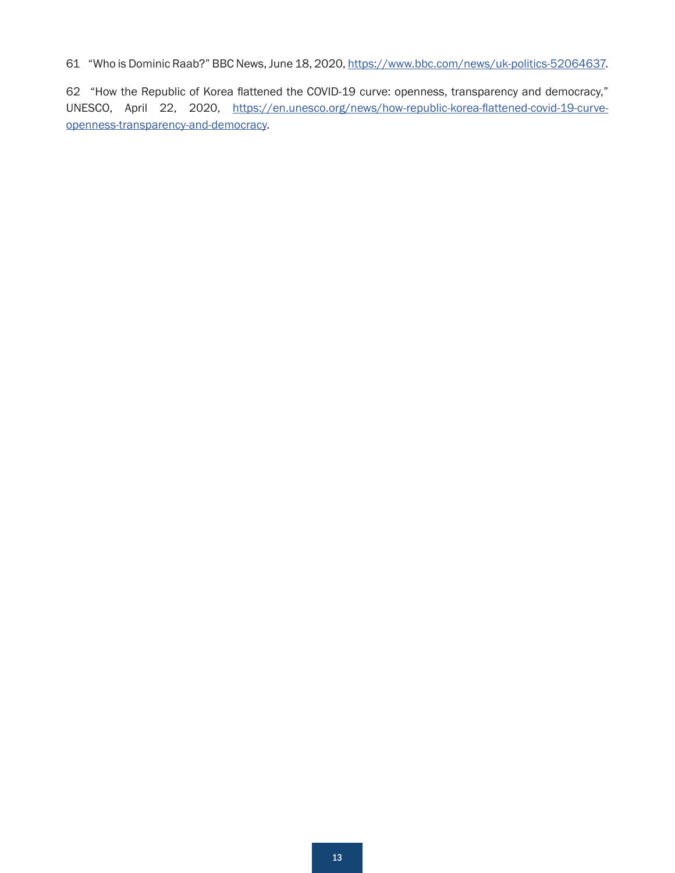<span id="page-12-0"></span>[61](#page-5-0) "Who is Dominic Raab?" BBC News, June 18, 2020,<https://www.bbc.com/news/uk-politics-52064637>.

[62](#page-5-0) "How the Republic of Korea flattened the COVID-19 curve: openness, transparency and democracy," UNESCO, April 22, 2020, [https://en.unesco.org/news/how-republic-korea-flattened-covid-19-curve](https://en.unesco.org/news/how-republic-korea-flattened-covid-19-curve-openness-transparency-and-democracy)[openness-transparency-and-democracy](https://en.unesco.org/news/how-republic-korea-flattened-covid-19-curve-openness-transparency-and-democracy).